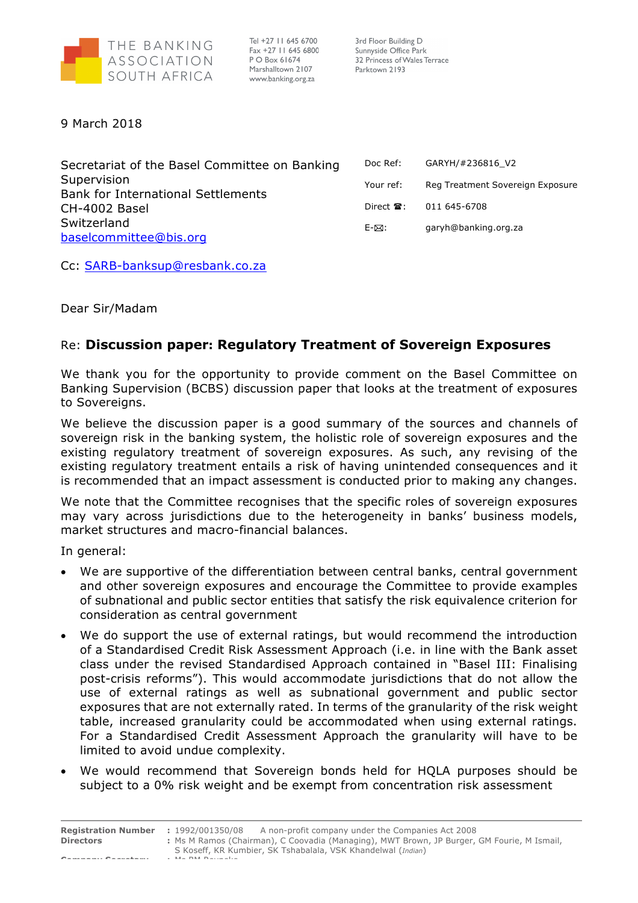

Tel +27 11 645 6700 Fax +27 11 645 6800 P O Box 61674 Marshalltown 2107 www.banking.org.za

3rd Floor Building D Sunnyside Office Park 32 Princess of Wales Terrace Parktown 2193

9 March 2018

| Secretariat of the Basel Committee on Banking              | Doc Ref:  | GARYH/#236816 V2                 |
|------------------------------------------------------------|-----------|----------------------------------|
| Supervision                                                | Your ref: | Reg Treatment Sovereign Exposure |
| <b>Bank for International Settlements</b><br>CH-4002 Basel | Direct 雷: | 011 645-6708                     |
| Switzerland                                                | E-⊠:      | garyh@banking.org.za             |
| baselcommittee@bis.org                                     |           |                                  |

Cc: SARB-banksup@resbank.co.za

Dear Sir/Madam

## Re: **Discussion paper: Regulatory Treatment of Sovereign Exposures**

We thank you for the opportunity to provide comment on the Basel Committee on Banking Supervision (BCBS) discussion paper that looks at the treatment of exposures to Sovereigns.

We believe the discussion paper is a good summary of the sources and channels of sovereign risk in the banking system, the holistic role of sovereign exposures and the existing regulatory treatment of sovereign exposures. As such, any revising of the existing regulatory treatment entails a risk of having unintended consequences and it is recommended that an impact assessment is conducted prior to making any changes.

We note that the Committee recognises that the specific roles of sovereign exposures may vary across jurisdictions due to the heterogeneity in banks' business models, market structures and macro-financial balances.

In general:

- We are supportive of the differentiation between central banks, central government and other sovereign exposures and encourage the Committee to provide examples of subnational and public sector entities that satisfy the risk equivalence criterion for consideration as central government
- We do support the use of external ratings, but would recommend the introduction of a Standardised Credit Risk Assessment Approach (i.e. in line with the Bank asset class under the revised Standardised Approach contained in "Basel III: Finalising post-crisis reforms"). This would accommodate jurisdictions that do not allow the use of external ratings as well as subnational government and public sector exposures that are not externally rated. In terms of the granularity of the risk weight table, increased granularity could be accommodated when using external ratings. For a Standardised Credit Assessment Approach the granularity will have to be limited to avoid undue complexity.
- We would recommend that Sovereign bonds held for HQLA purposes should be subject to a 0% risk weight and be exempt from concentration risk assessment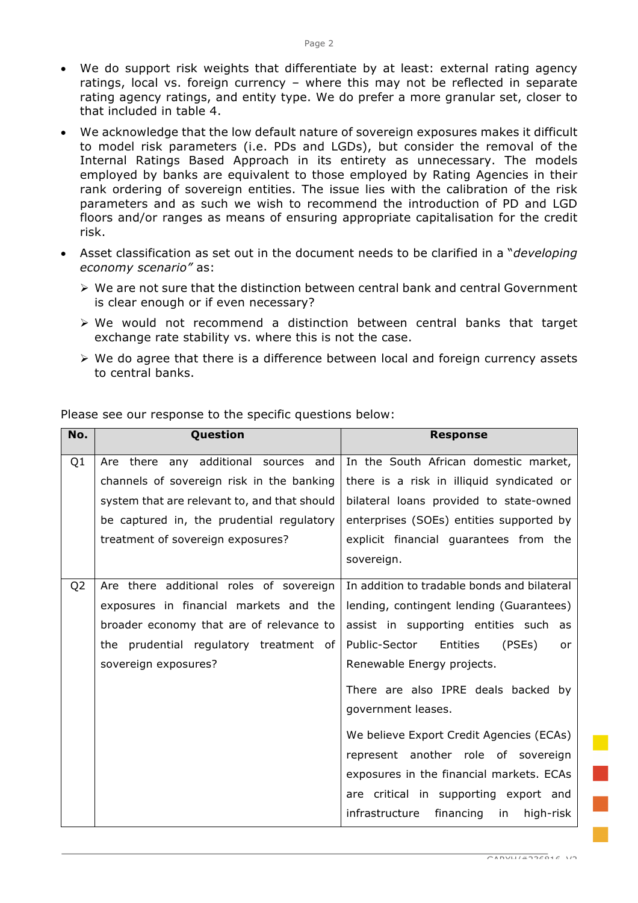- We do support risk weights that differentiate by at least: external rating agency ratings, local vs. foreign currency – where this may not be reflected in separate rating agency ratings, and entity type. We do prefer a more granular set, closer to that included in table 4.
- We acknowledge that the low default nature of sovereign exposures makes it difficult to model risk parameters (i.e. PDs and LGDs), but consider the removal of the Internal Ratings Based Approach in its entirety as unnecessary. The models employed by banks are equivalent to those employed by Rating Agencies in their rank ordering of sovereign entities. The issue lies with the calibration of the risk parameters and as such we wish to recommend the introduction of PD and LGD floors and/or ranges as means of ensuring appropriate capitalisation for the credit risk.
- Asset classification as set out in the document needs to be clarified in a "*developing economy scenario"* as:
	- $\triangleright$  We are not sure that the distinction between central bank and central Government is clear enough or if even necessary?
	- $\triangleright$  We would not recommend a distinction between central banks that target exchange rate stability vs. where this is not the case.
	- $\triangleright$  We do agree that there is a difference between local and foreign currency assets to central banks.

| No.            | Question                                     | <b>Response</b>                                |
|----------------|----------------------------------------------|------------------------------------------------|
| Q1             | there any additional sources and<br>Are      | In the South African domestic market,          |
|                | channels of sovereign risk in the banking    | there is a risk in illiquid syndicated or      |
|                | system that are relevant to, and that should | bilateral loans provided to state-owned        |
|                | be captured in, the prudential regulatory    | enterprises (SOEs) entities supported by       |
|                | treatment of sovereign exposures?            | explicit financial guarantees from the         |
|                |                                              | sovereign.                                     |
| Q <sub>2</sub> | Are there additional roles of sovereign      | In addition to tradable bonds and bilateral    |
|                | exposures in financial markets and the       | lending, contingent lending (Guarantees)       |
|                | broader economy that are of relevance to     | assist in supporting entities such<br>as       |
|                | the prudential regulatory treatment of       | Public-Sector<br>Entities<br>(PSEs)<br>or      |
|                | sovereign exposures?                         | Renewable Energy projects.                     |
|                |                                              | There are also IPRE deals backed by            |
|                |                                              | government leases.                             |
|                |                                              | We believe Export Credit Agencies (ECAs)       |
|                |                                              | represent another role of sovereign            |
|                |                                              | exposures in the financial markets. ECAs       |
|                |                                              | are critical in supporting export and          |
|                |                                              | infrastructure<br>financing<br>in<br>high-risk |

Please see our response to the specific questions below: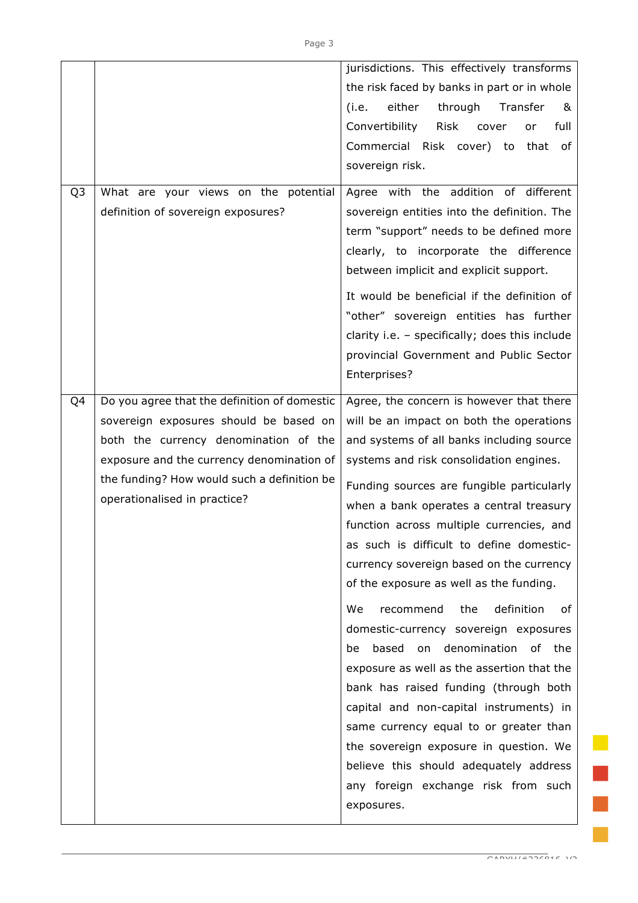| Q <sub>3</sub> | What are your views on the potential                                                                                                                                                                                                                        | jurisdictions. This effectively transforms<br>the risk faced by banks in part or in whole<br>(i.e. either<br>through Transfer<br>&<br>Convertibility<br>Risk<br>cover<br>full<br>or<br>Commercial Risk cover) to that of<br>sovereign risk.<br>Agree with the addition of different                                                                                                                                                                                                                                                                                                                                                                                                                                                                                                                                                                                                                            |
|----------------|-------------------------------------------------------------------------------------------------------------------------------------------------------------------------------------------------------------------------------------------------------------|----------------------------------------------------------------------------------------------------------------------------------------------------------------------------------------------------------------------------------------------------------------------------------------------------------------------------------------------------------------------------------------------------------------------------------------------------------------------------------------------------------------------------------------------------------------------------------------------------------------------------------------------------------------------------------------------------------------------------------------------------------------------------------------------------------------------------------------------------------------------------------------------------------------|
|                | definition of sovereign exposures?                                                                                                                                                                                                                          | sovereign entities into the definition. The<br>term "support" needs to be defined more<br>clearly, to incorporate the difference<br>between implicit and explicit support.<br>It would be beneficial if the definition of<br>"other" sovereign entities has further<br>clarity i.e. - specifically; does this include<br>provincial Government and Public Sector<br>Enterprises?                                                                                                                                                                                                                                                                                                                                                                                                                                                                                                                               |
| Q4             | Do you agree that the definition of domestic<br>sovereign exposures should be based on<br>both the currency denomination of the<br>exposure and the currency denomination of<br>the funding? How would such a definition be<br>operationalised in practice? | Agree, the concern is however that there<br>will be an impact on both the operations<br>and systems of all banks including source<br>systems and risk consolidation engines.<br>Funding sources are fungible particularly<br>when a bank operates a central treasury<br>function across multiple currencies, and<br>as such is difficult to define domestic-<br>currency sovereign based on the currency<br>of the exposure as well as the funding.<br>the<br>definition<br>We<br>recommend<br>of<br>domestic-currency sovereign exposures<br>based<br>denomination<br>of the<br>on<br>be<br>exposure as well as the assertion that the<br>bank has raised funding (through both<br>capital and non-capital instruments) in<br>same currency equal to or greater than<br>the sovereign exposure in question. We<br>believe this should adequately address<br>any foreign exchange risk from such<br>exposures. |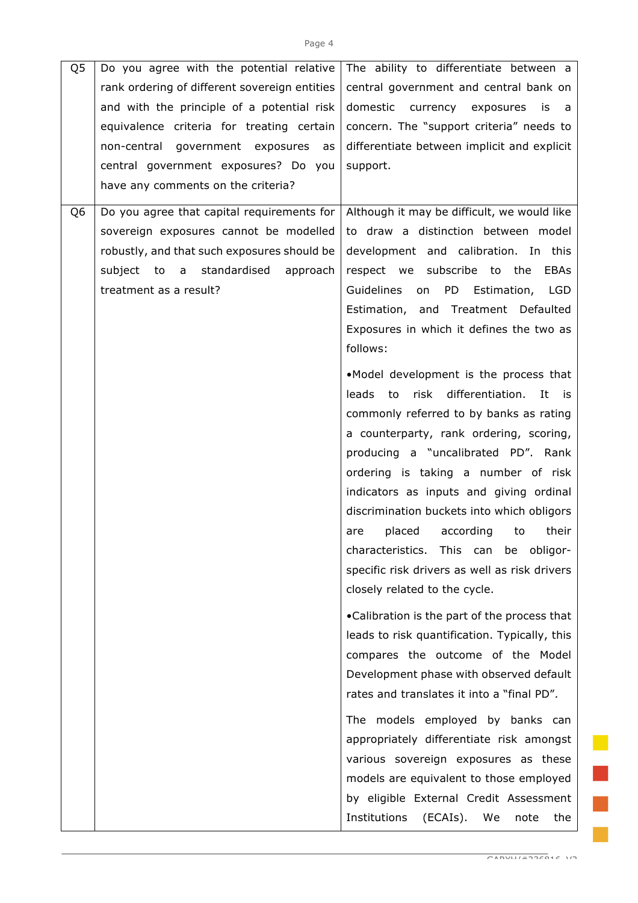| Q5 | Do you agree with the potential relative      | The ability to differentiate between a                |
|----|-----------------------------------------------|-------------------------------------------------------|
|    | rank ordering of different sovereign entities | central government and central bank on                |
|    | and with the principle of a potential risk    | domestic currency exposures<br>is<br>a a              |
|    | equivalence criteria for treating certain     | concern. The "support criteria" needs to              |
|    | non-central government exposures<br>as        | differentiate between implicit and explicit           |
|    | central government exposures? Do you          | support.                                              |
|    | have any comments on the criteria?            |                                                       |
| Q6 | Do you agree that capital requirements for    | Although it may be difficult, we would like           |
|    | sovereign exposures cannot be modelled        | to draw a distinction between model                   |
|    | robustly, and that such exposures should be   | development and calibration. In this                  |
|    | subject to a standardised<br>approach         | respect we subscribe to the<br>EBAs                   |
|    | treatment as a result?                        | Guidelines<br>PD -<br><b>LGD</b><br>Estimation,<br>on |
|    |                                               | Estimation, and Treatment Defaulted                   |
|    |                                               | Exposures in which it defines the two as              |
|    |                                               | follows:                                              |
|    |                                               | .Model development is the process that                |
|    |                                               | risk<br>differentiation.<br>leads<br>to<br>It<br>is i |
|    |                                               | commonly referred to by banks as rating               |
|    |                                               | a counterparty, rank ordering, scoring,               |
|    |                                               | producing a "uncalibrated PD". Rank                   |
|    |                                               | ordering is taking a number of risk                   |
|    |                                               | indicators as inputs and giving ordinal               |
|    |                                               | discrimination buckets into which obligors            |
|    |                                               | placed<br>according<br>their<br>to<br>are             |
|    |                                               | characteristics. This can be obligor-                 |
|    |                                               |                                                       |
|    |                                               | specific risk drivers as well as risk drivers         |
|    |                                               | closely related to the cycle.                         |
|    |                                               | .Calibration is the part of the process that          |
|    |                                               | leads to risk quantification. Typically, this         |
|    |                                               | compares the outcome of the Model                     |
|    |                                               | Development phase with observed default               |
|    |                                               | rates and translates it into a "final PD".            |
|    |                                               | The models employed by banks can                      |
|    |                                               | appropriately differentiate risk amongst              |
|    |                                               | various sovereign exposures as these                  |
|    |                                               | models are equivalent to those employed               |
|    |                                               | by eligible External Credit Assessment                |
|    |                                               | Institutions<br>(ECAIs).<br>We<br>note<br>the         |
|    |                                               |                                                       |

e<br>1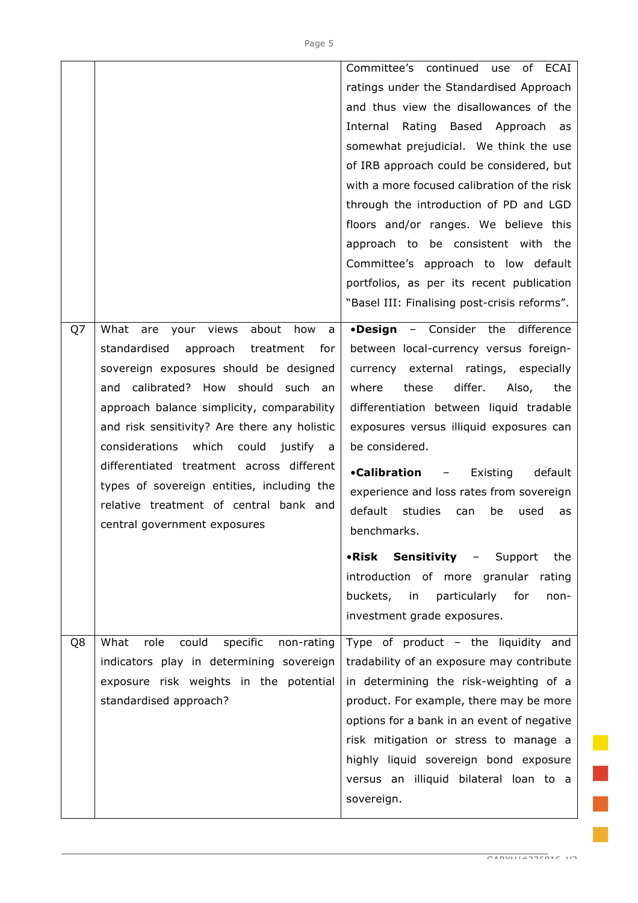|    |                                                                                                                                                                                                                                                                                                                                                                                                                                                                                              | Committee's continued<br>use<br>of ECAI<br>ratings under the Standardised Approach<br>and thus view the disallowances of the<br>Rating Based<br>Internal<br>Approach as<br>somewhat prejudicial. We think the use<br>of IRB approach could be considered, but                                                                                                                                                                                                                                                                                    |
|----|----------------------------------------------------------------------------------------------------------------------------------------------------------------------------------------------------------------------------------------------------------------------------------------------------------------------------------------------------------------------------------------------------------------------------------------------------------------------------------------------|--------------------------------------------------------------------------------------------------------------------------------------------------------------------------------------------------------------------------------------------------------------------------------------------------------------------------------------------------------------------------------------------------------------------------------------------------------------------------------------------------------------------------------------------------|
|    |                                                                                                                                                                                                                                                                                                                                                                                                                                                                                              | with a more focused calibration of the risk<br>through the introduction of PD and LGD<br>floors and/or ranges. We believe this<br>approach to be consistent with the<br>Committee's approach to low default<br>portfolios, as per its recent publication<br>"Basel III: Finalising post-crisis reforms".                                                                                                                                                                                                                                         |
| Q7 | What are<br>your views about how<br>a<br>standardised<br>approach<br>treatment<br>for<br>sovereign exposures should be designed<br>and calibrated? How should such an<br>approach balance simplicity, comparability<br>and risk sensitivity? Are there any holistic<br>considerations<br>which<br>could<br>justify<br>a<br>differentiated treatment across different<br>types of sovereign entities, including the<br>relative treatment of central bank and<br>central government exposures | .Design - Consider the difference<br>between local-currency versus foreign-<br>currency external ratings, especially<br>differ.<br>where<br>these<br>Also,<br>the<br>differentiation between liquid tradable<br>exposures versus illiquid exposures can<br>be considered.<br><b>•Calibration</b><br>Existing<br>default<br>$\overline{\phantom{a}}$<br>experience and loss rates from sovereign<br>default<br>studies<br>be<br>used<br>can<br>as<br>benchmarks.<br>.Risk Sensitivity - Support<br>the<br>introduction of more granular<br>rating |
| Q8 | What<br>could<br>specific<br>role<br>non-rating<br>indicators play in determining sovereign<br>exposure risk weights in the potential<br>standardised approach?                                                                                                                                                                                                                                                                                                                              | buckets, in<br>particularly<br>for<br>non-<br>investment grade exposures.<br>Type of product - the liquidity and<br>tradability of an exposure may contribute<br>in determining the risk-weighting of a<br>product. For example, there may be more<br>options for a bank in an event of negative<br>risk mitigation or stress to manage a<br>highly liquid sovereign bond exposure<br>versus an illiquid bilateral loan to a<br>sovereign.                                                                                                       |

i<br>Li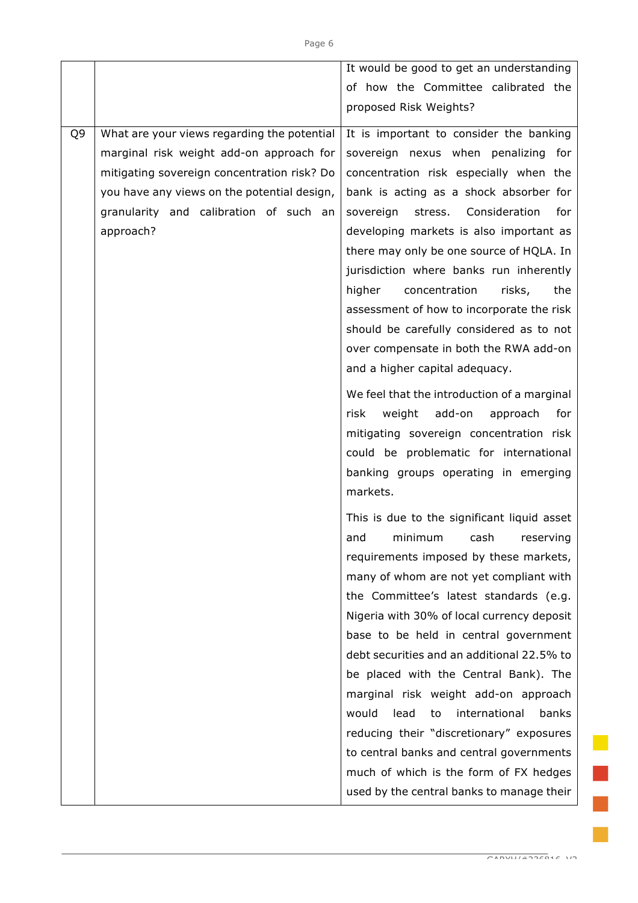|    |                                             | It would be good to get an understanding      |
|----|---------------------------------------------|-----------------------------------------------|
|    |                                             | of how the Committee calibrated the           |
|    |                                             | proposed Risk Weights?                        |
| Q9 | What are your views regarding the potential | It is important to consider the banking       |
|    | marginal risk weight add-on approach for    | sovereign nexus when penalizing<br>for        |
|    | mitigating sovereign concentration risk? Do | concentration risk especially when the        |
|    | you have any views on the potential design, | bank is acting as a shock absorber for        |
|    | granularity and calibration of such an      | Consideration<br>stress.<br>for<br>sovereign  |
|    | approach?                                   | developing markets is also important as       |
|    |                                             | there may only be one source of HQLA. In      |
|    |                                             | jurisdiction where banks run inherently       |
|    |                                             | concentration<br>higher<br>risks,<br>the      |
|    |                                             | assessment of how to incorporate the risk     |
|    |                                             | should be carefully considered as to not      |
|    |                                             | over compensate in both the RWA add-on        |
|    |                                             | and a higher capital adequacy.                |
|    |                                             | We feel that the introduction of a marginal   |
|    |                                             | weight<br>add-on<br>risk<br>approach<br>for   |
|    |                                             | mitigating sovereign concentration risk       |
|    |                                             | could be problematic for international        |
|    |                                             | banking groups operating in emerging          |
|    |                                             | markets.                                      |
|    |                                             | This is due to the significant liquid asset   |
|    |                                             | minimum<br>cash<br>and<br>reserving           |
|    |                                             | requirements imposed by these markets,        |
|    |                                             | many of whom are not yet compliant with       |
|    |                                             | the Committee's latest standards (e.g.        |
|    |                                             | Nigeria with 30% of local currency deposit    |
|    |                                             | base to be held in central government         |
|    |                                             | debt securities and an additional 22.5% to    |
|    |                                             | be placed with the Central Bank). The         |
|    |                                             | marginal risk weight add-on approach          |
|    |                                             | international<br>would<br>lead<br>banks<br>to |
|    |                                             | reducing their "discretionary" exposures      |
|    |                                             | to central banks and central governments      |
|    |                                             | much of which is the form of FX hedges        |
|    |                                             | used by the central banks to manage their     |

÷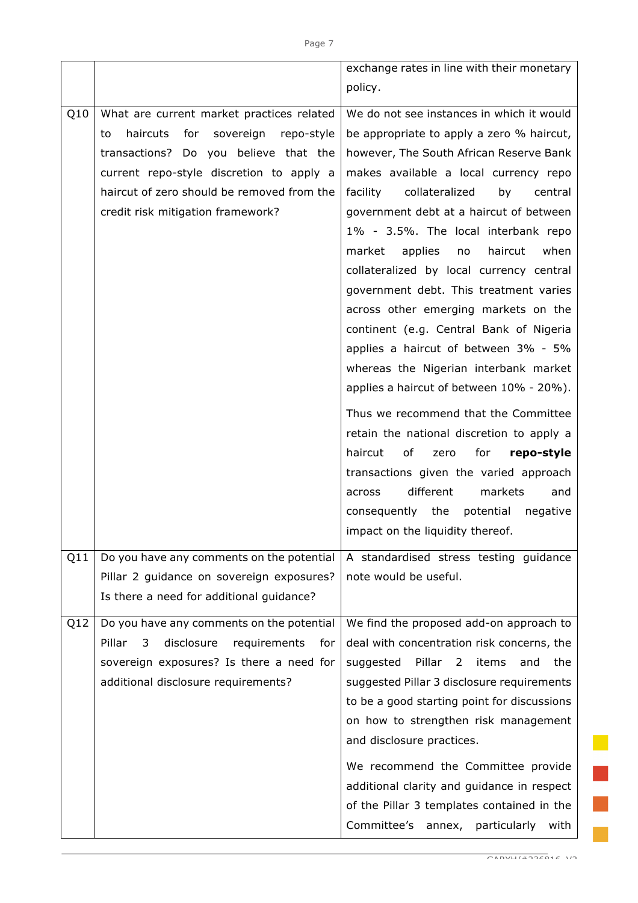|     |                                                  | exchange rates in line with their monetary      |
|-----|--------------------------------------------------|-------------------------------------------------|
|     |                                                  | policy.                                         |
| Q10 | What are current market practices related        | We do not see instances in which it would       |
|     | haircuts<br>for<br>sovereign<br>repo-style<br>to | be appropriate to apply a zero % haircut,       |
|     | transactions? Do you believe that the            | however, The South African Reserve Bank         |
|     | current repo-style discretion to apply a         | makes available a local currency repo           |
|     | haircut of zero should be removed from the       | collateralized<br>facility<br>by<br>central     |
|     | credit risk mitigation framework?                | government debt at a haircut of between         |
|     |                                                  | 1% - 3.5%. The local interbank repo             |
|     |                                                  | haircut<br>market<br>applies<br>no<br>when      |
|     |                                                  | collateralized by local currency central        |
|     |                                                  | government debt. This treatment varies          |
|     |                                                  | across other emerging markets on the            |
|     |                                                  | continent (e.g. Central Bank of Nigeria         |
|     |                                                  | applies a haircut of between 3% - 5%            |
|     |                                                  | whereas the Nigerian interbank market           |
|     |                                                  | applies a haircut of between 10% - 20%).        |
|     |                                                  | Thus we recommend that the Committee            |
|     |                                                  | retain the national discretion to apply a       |
|     |                                                  | of<br>for<br>haircut<br>repo-style<br>zero      |
|     |                                                  | transactions given the varied approach          |
|     |                                                  | different<br>markets<br>and<br>across           |
|     |                                                  | potential<br>negative<br>consequently<br>the    |
|     |                                                  | impact on the liquidity thereof.                |
| Q11 | Do you have any comments on the potential        | A standardised stress testing guidance          |
|     | Pillar 2 guidance on sovereign exposures?        | note would be useful.                           |
|     | Is there a need for additional guidance?         |                                                 |
| Q12 | Do you have any comments on the potential        | We find the proposed add-on approach to         |
|     | disclosure<br>Pillar<br>3<br>requirements<br>for | deal with concentration risk concerns, the      |
|     | sovereign exposures? Is there a need for         | Pillar<br>2<br>items<br>the<br>suggested<br>and |
|     | additional disclosure requirements?              | suggested Pillar 3 disclosure requirements      |
|     |                                                  | to be a good starting point for discussions     |
|     |                                                  | on how to strengthen risk management            |
|     |                                                  | and disclosure practices.                       |
|     |                                                  | We recommend the Committee provide              |
|     |                                                  | additional clarity and guidance in respect      |
|     |                                                  | of the Pillar 3 templates contained in the      |
|     |                                                  | Committee's<br>annex, particularly<br>with      |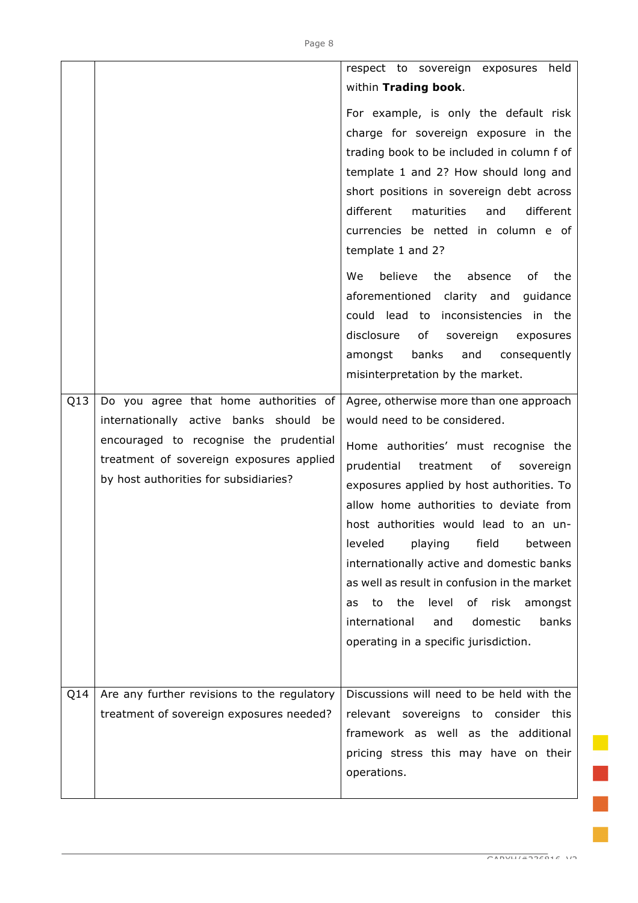|     |                                                                                                                                                                                                                | respect to sovereign exposures held<br>within Trading book.<br>For example, is only the default risk<br>charge for sovereign exposure in the<br>trading book to be included in column f of<br>template 1 and 2? How should long and<br>short positions in sovereign debt across<br>different<br>maturities<br>different<br>and<br>currencies be netted in column e of<br>template 1 and 2?<br>believe<br>the<br>absence<br>We<br>оf<br>the                                                                                                                                   |
|-----|----------------------------------------------------------------------------------------------------------------------------------------------------------------------------------------------------------------|------------------------------------------------------------------------------------------------------------------------------------------------------------------------------------------------------------------------------------------------------------------------------------------------------------------------------------------------------------------------------------------------------------------------------------------------------------------------------------------------------------------------------------------------------------------------------|
|     |                                                                                                                                                                                                                | aforementioned<br>clarity and<br>quidance<br>could lead to inconsistencies in the<br>of<br>disclosure<br>sovereign<br>exposures<br>banks<br>amongst<br>and<br>consequently<br>misinterpretation by the market.                                                                                                                                                                                                                                                                                                                                                               |
| Q13 | Do you agree that home authorities of<br>internationally active banks should be<br>encouraged to recognise the prudential<br>treatment of sovereign exposures applied<br>by host authorities for subsidiaries? | Agree, otherwise more than one approach<br>would need to be considered.<br>Home authorities' must recognise the<br>prudential<br>treatment<br>of<br>sovereign<br>exposures applied by host authorities. To<br>allow home authorities to deviate from<br>host authorities would lead to an un-<br>leveled<br>field<br>playing<br>between<br>internationally active and domestic banks<br>as well as result in confusion in the market<br>the<br>level<br>of risk<br>to<br>amongst<br>as<br>international<br>domestic<br>banks<br>and<br>operating in a specific jurisdiction. |
| Q14 | Are any further revisions to the regulatory<br>treatment of sovereign exposures needed?                                                                                                                        | Discussions will need to be held with the<br>relevant sovereigns to consider this<br>framework as well as the additional<br>pricing stress this may have on their<br>operations.                                                                                                                                                                                                                                                                                                                                                                                             |

×,

÷,

e<br>Ba